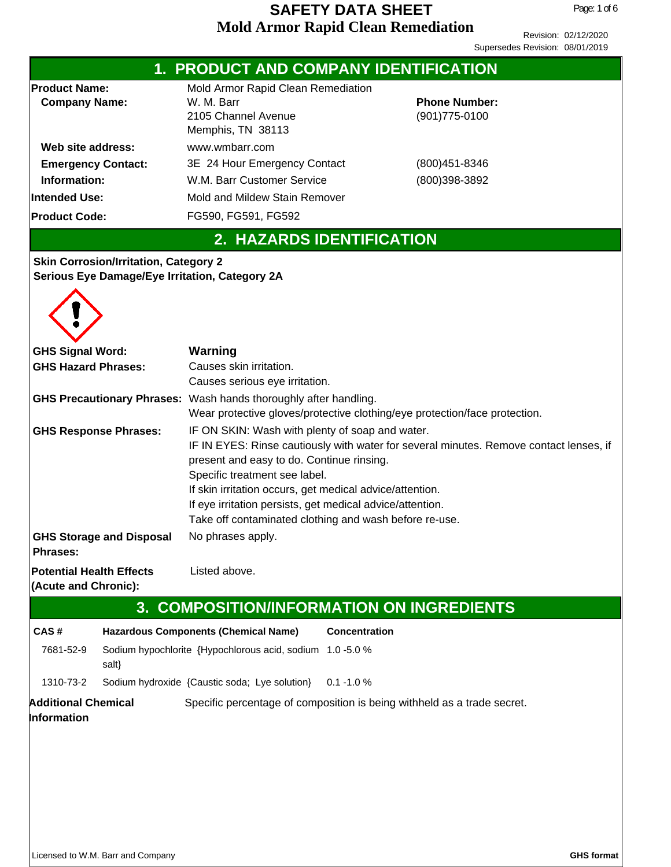|                                                                                                                                                         |                                              | 1. PRODUCT AND COMPANY IDENTIFICATION                                                                                                                                                                                                                                                                                                 |                      |                                                                                        |
|---------------------------------------------------------------------------------------------------------------------------------------------------------|----------------------------------------------|---------------------------------------------------------------------------------------------------------------------------------------------------------------------------------------------------------------------------------------------------------------------------------------------------------------------------------------|----------------------|----------------------------------------------------------------------------------------|
| <b>Product Name:</b><br><b>Company Name:</b><br>Web site address:<br><b>Emergency Contact:</b><br>Information:<br>Intended Use:<br><b>Product Code:</b> |                                              | Mold Armor Rapid Clean Remediation<br>W. M. Barr<br>2105 Channel Avenue<br>Memphis, TN 38113<br>www.wmbarr.com<br>3E 24 Hour Emergency Contact<br>W.M. Barr Customer Service<br>Mold and Mildew Stain Remover                                                                                                                         |                      | <b>Phone Number:</b><br>(901) 775-0100<br>$(800)451 - 8346$<br>(800)398-3892           |
|                                                                                                                                                         |                                              | FG590, FG591, FG592<br>2. HAZARDS IDENTIFICATION                                                                                                                                                                                                                                                                                      |                      |                                                                                        |
|                                                                                                                                                         | <b>Skin Corrosion/Irritation, Category 2</b> | Serious Eye Damage/Eye Irritation, Category 2A                                                                                                                                                                                                                                                                                        |                      |                                                                                        |
| <b>GHS Signal Word:</b>                                                                                                                                 |                                              | <b>Warning</b>                                                                                                                                                                                                                                                                                                                        |                      |                                                                                        |
| <b>GHS Hazard Phrases:</b>                                                                                                                              |                                              | Causes skin irritation.                                                                                                                                                                                                                                                                                                               |                      |                                                                                        |
|                                                                                                                                                         |                                              | Causes serious eye irritation.<br>GHS Precautionary Phrases: Wash hands thoroughly after handling.<br>Wear protective gloves/protective clothing/eye protection/face protection.                                                                                                                                                      |                      |                                                                                        |
| <b>GHS Response Phrases:</b>                                                                                                                            |                                              | IF ON SKIN: Wash with plenty of soap and water.<br>present and easy to do. Continue rinsing.<br>Specific treatment see label.<br>If skin irritation occurs, get medical advice/attention.<br>If eye irritation persists, get medical advice/attention.<br>Take off contaminated clothing and wash before re-use.<br>No phrases apply. |                      | IF IN EYES: Rinse cautiously with water for several minutes. Remove contact lenses, if |
| <b>Phrases:</b>                                                                                                                                         | <b>GHS Storage and Disposal</b>              |                                                                                                                                                                                                                                                                                                                                       |                      |                                                                                        |
| <b>Potential Health Effects</b><br>(Acute and Chronic):                                                                                                 |                                              | Listed above.                                                                                                                                                                                                                                                                                                                         |                      |                                                                                        |
|                                                                                                                                                         |                                              | 3. COMPOSITION/INFORMATION ON INGREDIENTS                                                                                                                                                                                                                                                                                             |                      |                                                                                        |
| CAS#                                                                                                                                                    |                                              | <b>Hazardous Components (Chemical Name)</b>                                                                                                                                                                                                                                                                                           | <b>Concentration</b> |                                                                                        |
| 7681-52-9                                                                                                                                               | salt}                                        | Sodium hypochlorite {Hypochlorous acid, sodium 1.0 -5.0 %                                                                                                                                                                                                                                                                             |                      |                                                                                        |
| 1310-73-2                                                                                                                                               |                                              | Sodium hydroxide {Caustic soda; Lye solution}                                                                                                                                                                                                                                                                                         | $0.1 - 1.0 %$        |                                                                                        |
| <b>Additional Chemical</b><br>Information                                                                                                               |                                              | Specific percentage of composition is being withheld as a trade secret.                                                                                                                                                                                                                                                               |                      |                                                                                        |
|                                                                                                                                                         | Licensed to W.M. Barr and Company            |                                                                                                                                                                                                                                                                                                                                       |                      | <b>GHS format</b>                                                                      |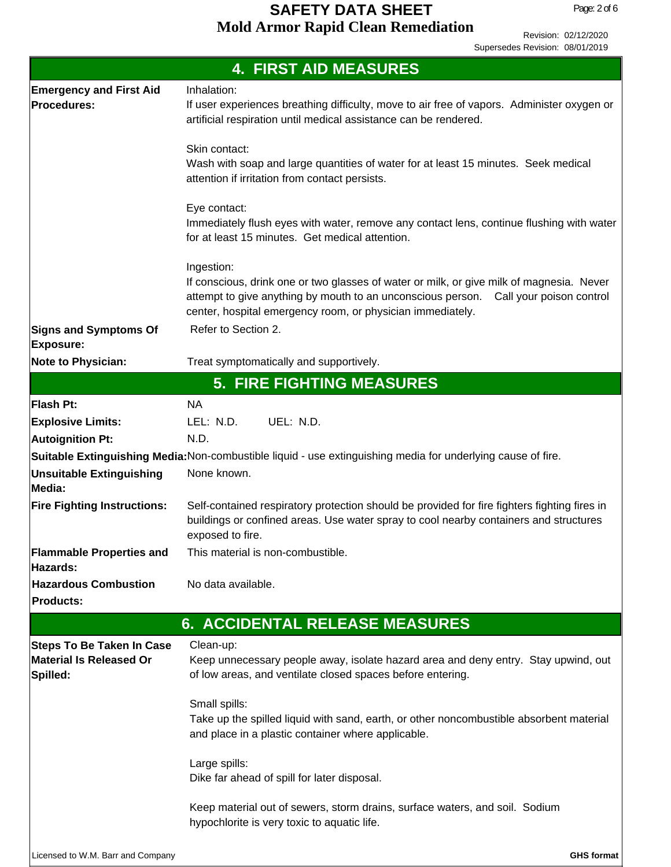|                                                                                | <b>4. FIRST AID MEASURES</b>                                                                                                                                                                                                                                 |
|--------------------------------------------------------------------------------|--------------------------------------------------------------------------------------------------------------------------------------------------------------------------------------------------------------------------------------------------------------|
| <b>Emergency and First Aid</b><br>Procedures:                                  | Inhalation:<br>If user experiences breathing difficulty, move to air free of vapors. Administer oxygen or<br>artificial respiration until medical assistance can be rendered.                                                                                |
|                                                                                | Skin contact:<br>Wash with soap and large quantities of water for at least 15 minutes. Seek medical<br>attention if irritation from contact persists.                                                                                                        |
|                                                                                | Eye contact:<br>Immediately flush eyes with water, remove any contact lens, continue flushing with water<br>for at least 15 minutes. Get medical attention.                                                                                                  |
|                                                                                | Ingestion:<br>If conscious, drink one or two glasses of water or milk, or give milk of magnesia. Never<br>attempt to give anything by mouth to an unconscious person. Call your poison control<br>center, hospital emergency room, or physician immediately. |
| <b>Signs and Symptoms Of</b><br><b>Exposure:</b>                               | Refer to Section 2.                                                                                                                                                                                                                                          |
| <b>Note to Physician:</b>                                                      | Treat symptomatically and supportively.                                                                                                                                                                                                                      |
|                                                                                | <b>5. FIRE FIGHTING MEASURES</b>                                                                                                                                                                                                                             |
| Flash Pt:                                                                      | <b>NA</b>                                                                                                                                                                                                                                                    |
| <b>Explosive Limits:</b>                                                       | LEL: N.D.<br>UEL: N.D.                                                                                                                                                                                                                                       |
| <b>Autoignition Pt:</b>                                                        | N.D.                                                                                                                                                                                                                                                         |
|                                                                                | Suitable Extinguishing Media: Non-combustible liquid - use extinguishing media for underlying cause of fire.                                                                                                                                                 |
| <b>Unsuitable Extinguishing</b><br>Media:                                      | None known.                                                                                                                                                                                                                                                  |
| <b>Fire Fighting Instructions:</b>                                             | Self-contained respiratory protection should be provided for fire fighters fighting fires in<br>buildings or confined areas. Use water spray to cool nearby containers and structures<br>exposed to fire.                                                    |
| <b>Flammable Properties and</b><br>Hazards:                                    | This material is non-combustible.                                                                                                                                                                                                                            |
| <b>Hazardous Combustion</b><br><b>Products:</b>                                | No data available.                                                                                                                                                                                                                                           |
|                                                                                | <b>6. ACCIDENTAL RELEASE MEASURES</b>                                                                                                                                                                                                                        |
|                                                                                |                                                                                                                                                                                                                                                              |
| <b>Steps To Be Taken In Case</b><br><b>Material Is Released Or</b><br>Spilled: | Clean-up:<br>Keep unnecessary people away, isolate hazard area and deny entry. Stay upwind, out<br>of low areas, and ventilate closed spaces before entering.                                                                                                |
|                                                                                | Small spills:<br>Take up the spilled liquid with sand, earth, or other noncombustible absorbent material<br>and place in a plastic container where applicable.                                                                                               |
|                                                                                | Large spills:<br>Dike far ahead of spill for later disposal.                                                                                                                                                                                                 |
|                                                                                | Keep material out of sewers, storm drains, surface waters, and soil. Sodium<br>hypochlorite is very toxic to aquatic life.                                                                                                                                   |
| Licensed to W.M. Barr and Company                                              | <b>GHS format</b>                                                                                                                                                                                                                                            |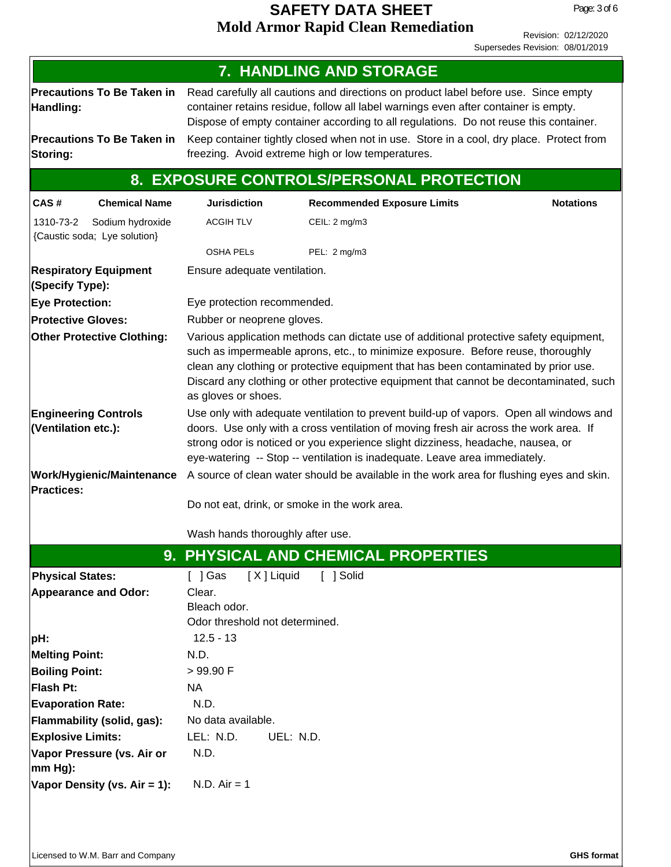|                                                                                     |                                                                                                                                                                                                                                                                                                                                                                                    | <b>7. HANDLING AND STORAGE</b>                                                           |                  |
|-------------------------------------------------------------------------------------|------------------------------------------------------------------------------------------------------------------------------------------------------------------------------------------------------------------------------------------------------------------------------------------------------------------------------------------------------------------------------------|------------------------------------------------------------------------------------------|------------------|
| <b>Precautions To Be Taken in</b><br>Handling:<br><b>Precautions To Be Taken in</b> | Read carefully all cautions and directions on product label before use. Since empty<br>container retains residue, follow all label warnings even after container is empty.<br>Dispose of empty container according to all regulations. Do not reuse this container.<br>Keep container tightly closed when not in use. Store in a cool, dry place. Protect from                     |                                                                                          |                  |
| Storing:                                                                            |                                                                                                                                                                                                                                                                                                                                                                                    | freezing. Avoid extreme high or low temperatures.                                        |                  |
|                                                                                     |                                                                                                                                                                                                                                                                                                                                                                                    | 8. EXPOSURE CONTROLS/PERSONAL PROTECTION                                                 |                  |
| CAS#<br><b>Chemical Name</b>                                                        | <b>Jurisdiction</b>                                                                                                                                                                                                                                                                                                                                                                | <b>Recommended Exposure Limits</b>                                                       | <b>Notations</b> |
| 1310-73-2<br>Sodium hydroxide<br>{Caustic soda; Lye solution}                       | <b>ACGIH TLV</b>                                                                                                                                                                                                                                                                                                                                                                   | CEIL: 2 mg/m3                                                                            |                  |
|                                                                                     | <b>OSHA PELS</b>                                                                                                                                                                                                                                                                                                                                                                   | PEL: 2 mg/m3                                                                             |                  |
| <b>Respiratory Equipment</b><br>(Specify Type):                                     | Ensure adequate ventilation.                                                                                                                                                                                                                                                                                                                                                       |                                                                                          |                  |
| <b>Eye Protection:</b>                                                              | Eye protection recommended.                                                                                                                                                                                                                                                                                                                                                        |                                                                                          |                  |
| <b>Protective Gloves:</b>                                                           | Rubber or neoprene gloves.                                                                                                                                                                                                                                                                                                                                                         |                                                                                          |                  |
| <b>Other Protective Clothing:</b>                                                   | Various application methods can dictate use of additional protective safety equipment,<br>such as impermeable aprons, etc., to minimize exposure. Before reuse, thoroughly<br>clean any clothing or protective equipment that has been contaminated by prior use.<br>Discard any clothing or other protective equipment that cannot be decontaminated, such<br>as gloves or shoes. |                                                                                          |                  |
| <b>Engineering Controls</b><br>(Ventilation etc.):                                  | Use only with adequate ventilation to prevent build-up of vapors. Open all windows and<br>doors. Use only with a cross ventilation of moving fresh air across the work area. If<br>strong odor is noticed or you experience slight dizziness, headache, nausea, or<br>eye-watering -- Stop -- ventilation is inadequate. Leave area immediately.                                   |                                                                                          |                  |
| Work/Hygienic/Maintenance<br><b>Practices:</b>                                      |                                                                                                                                                                                                                                                                                                                                                                                    | A source of clean water should be available in the work area for flushing eyes and skin. |                  |
|                                                                                     | Do not eat, drink, or smoke in the work area.                                                                                                                                                                                                                                                                                                                                      |                                                                                          |                  |
|                                                                                     | Wash hands thoroughly after use.                                                                                                                                                                                                                                                                                                                                                   |                                                                                          |                  |
|                                                                                     |                                                                                                                                                                                                                                                                                                                                                                                    | 9. PHYSICAL AND CHEMICAL PROPERTIES                                                      |                  |
| <b>Physical States:</b>                                                             | [X] Liquid<br>$[$ ] Gas                                                                                                                                                                                                                                                                                                                                                            | [ ] Solid                                                                                |                  |
| <b>Appearance and Odor:</b>                                                         | Clear.                                                                                                                                                                                                                                                                                                                                                                             |                                                                                          |                  |
|                                                                                     | Bleach odor.                                                                                                                                                                                                                                                                                                                                                                       |                                                                                          |                  |
|                                                                                     | Odor threshold not determined.<br>$12.5 - 13$                                                                                                                                                                                                                                                                                                                                      |                                                                                          |                  |
| pH:<br><b>Melting Point:</b>                                                        | N.D.                                                                                                                                                                                                                                                                                                                                                                               |                                                                                          |                  |
| <b>Boiling Point:</b>                                                               | >99.90 F                                                                                                                                                                                                                                                                                                                                                                           |                                                                                          |                  |
| Flash Pt:                                                                           | NA                                                                                                                                                                                                                                                                                                                                                                                 |                                                                                          |                  |
| <b>Evaporation Rate:</b>                                                            | N.D.                                                                                                                                                                                                                                                                                                                                                                               |                                                                                          |                  |
| Flammability (solid, gas):                                                          | No data available.                                                                                                                                                                                                                                                                                                                                                                 |                                                                                          |                  |
| <b>Explosive Limits:</b>                                                            | LEL: N.D.<br>UEL: N.D.                                                                                                                                                                                                                                                                                                                                                             |                                                                                          |                  |
| Vapor Pressure (vs. Air or<br>mm Hg):                                               | N.D.                                                                                                                                                                                                                                                                                                                                                                               |                                                                                          |                  |
| Vapor Density (vs. Air = 1):                                                        | $N.D. Air = 1$                                                                                                                                                                                                                                                                                                                                                                     |                                                                                          |                  |
|                                                                                     |                                                                                                                                                                                                                                                                                                                                                                                    |                                                                                          |                  |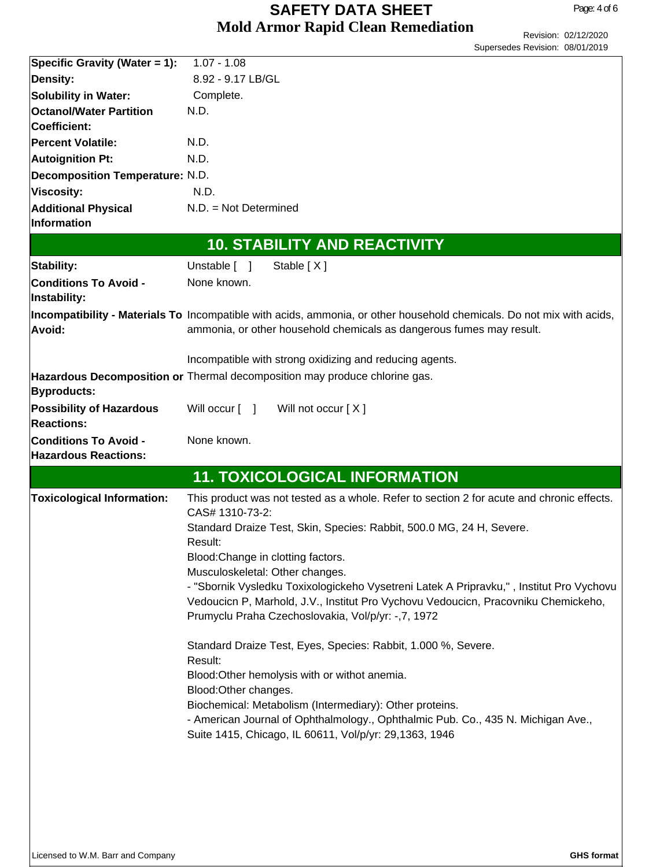|                                        | Supersedes Revision: 08/01/2019                                                                                                                                               |
|----------------------------------------|-------------------------------------------------------------------------------------------------------------------------------------------------------------------------------|
| Specific Gravity (Water = 1):          | $1.07 - 1.08$                                                                                                                                                                 |
| <b>Density:</b>                        | 8.92 - 9.17 LB/GL                                                                                                                                                             |
| <b>Solubility in Water:</b>            | Complete.                                                                                                                                                                     |
| <b>Octanol/Water Partition</b>         | N.D.                                                                                                                                                                          |
| <b>Coefficient:</b>                    |                                                                                                                                                                               |
| <b>Percent Volatile:</b>               | N.D.                                                                                                                                                                          |
| <b>Autoignition Pt:</b>                | N.D.                                                                                                                                                                          |
| <b>Decomposition Temperature: N.D.</b> |                                                                                                                                                                               |
| <b>Viscosity:</b>                      | N.D.                                                                                                                                                                          |
| <b>Additional Physical</b>             | $N.D. = Not Determined$                                                                                                                                                       |
| Information                            |                                                                                                                                                                               |
|                                        | <b>10. STABILITY AND REACTIVITY</b>                                                                                                                                           |
| Stability:                             | Unstable [ ]<br>Stable [X]                                                                                                                                                    |
| <b>Conditions To Avoid -</b>           | None known.                                                                                                                                                                   |
| Instability:                           |                                                                                                                                                                               |
|                                        | Incompatibility - Materials To Incompatible with acids, ammonia, or other household chemicals. Do not mix with acids,                                                         |
| Avoid:                                 | ammonia, or other household chemicals as dangerous fumes may result.                                                                                                          |
|                                        |                                                                                                                                                                               |
|                                        | Incompatible with strong oxidizing and reducing agents.                                                                                                                       |
|                                        | Hazardous Decomposition or Thermal decomposition may produce chlorine gas.                                                                                                    |
| <b>Byproducts:</b>                     |                                                                                                                                                                               |
| <b>Possibility of Hazardous</b>        | Will occur [ ]<br>Will not occur [X]                                                                                                                                          |
| <b>Reactions:</b>                      |                                                                                                                                                                               |
| <b>Conditions To Avoid -</b>           | None known.                                                                                                                                                                   |
| <b>Hazardous Reactions:</b>            |                                                                                                                                                                               |
|                                        | <b>11. TOXICOLOGICAL INFORMATION</b>                                                                                                                                          |
| <b>Toxicological Information:</b>      | This product was not tested as a whole. Refer to section 2 for acute and chronic effects.                                                                                     |
|                                        | CAS# 1310-73-2:                                                                                                                                                               |
|                                        | Standard Draize Test, Skin, Species: Rabbit, 500.0 MG, 24 H, Severe.                                                                                                          |
|                                        | Result:                                                                                                                                                                       |
|                                        | Blood: Change in clotting factors.                                                                                                                                            |
|                                        | Musculoskeletal: Other changes.                                                                                                                                               |
|                                        | - "Sbornik Vysledku Toxixologickeho Vysetreni Latek A Pripravku,", Institut Pro Vychovu<br>Vedoucicn P, Marhold, J.V., Institut Pro Vychovu Vedoucicn, Pracovniku Chemickeho, |
|                                        | Prumyclu Praha Czechoslovakia, Vol/p/yr: -, 7, 1972                                                                                                                           |
|                                        |                                                                                                                                                                               |
|                                        | Standard Draize Test, Eyes, Species: Rabbit, 1.000 %, Severe.                                                                                                                 |
|                                        | Result:                                                                                                                                                                       |
|                                        | Blood: Other hemolysis with or withot anemia.                                                                                                                                 |
|                                        | Blood: Other changes.                                                                                                                                                         |
|                                        | Biochemical: Metabolism (Intermediary): Other proteins.                                                                                                                       |
|                                        | - American Journal of Ophthalmology., Ophthalmic Pub. Co., 435 N. Michigan Ave.,                                                                                              |
|                                        | Suite 1415, Chicago, IL 60611, Vol/p/yr: 29,1363, 1946                                                                                                                        |
|                                        |                                                                                                                                                                               |
|                                        |                                                                                                                                                                               |
|                                        |                                                                                                                                                                               |
|                                        |                                                                                                                                                                               |
|                                        |                                                                                                                                                                               |
|                                        |                                                                                                                                                                               |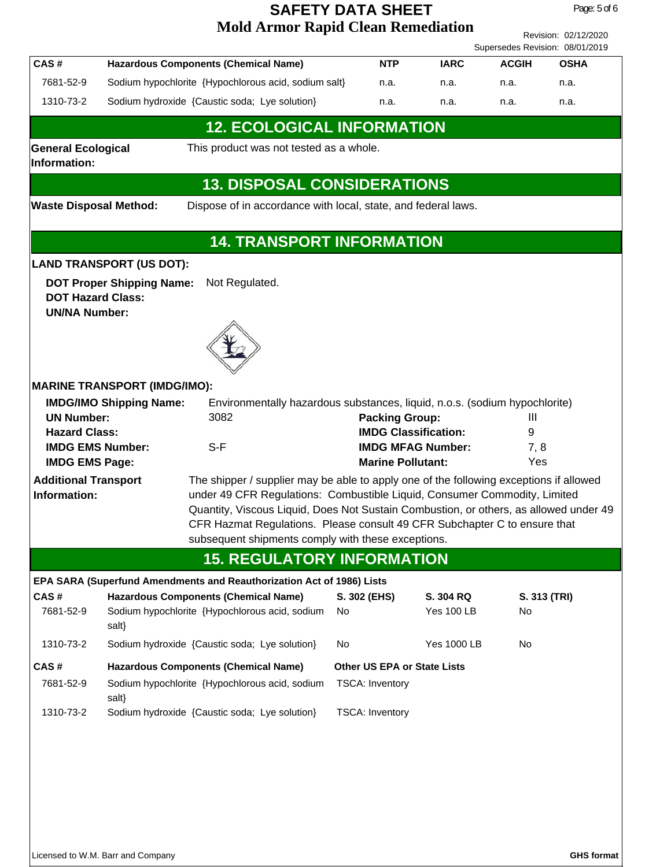Revision: 02/12/2020 Supersedes Revision: 08/01/2019

Page: 5 of 6

| CAS#      | <b>Hazardous Components (Chemical Name)</b>          | <b>NTP</b> | <b>IARC</b> | <b>ACGIH</b> | OSHA |
|-----------|------------------------------------------------------|------------|-------------|--------------|------|
| 7681-52-9 | Sodium hypochlorite {Hypochlorous acid, sodium salt} | n.a.       | n.a.        | n.a.         | n.a. |
| 1310-73-2 | Sodium hydroxide {Caustic soda; Lye solution}        | n.a.       | n.a.        | n.a.         | n.a. |

#### **12. ECOLOGICAL INFORMATION**

**Information:**

**General Ecological** This product was not tested as a whole.

# **13. DISPOSAL CONSIDERATIONS**

**Waste Disposal Method:** Dispose of in accordance with local, state, and federal laws.

## **14. TRANSPORT INFORMATION**

#### **LAND TRANSPORT (US DOT):**

**DOT Proper Shipping Name:** Not Regulated. **DOT Hazard Class: UN/NA Number:**



#### **MARINE TRANSPORT (IMDG/IMO):**

| <b>IMDG/IMO Shipping Name:</b> | Environmentally hazardous substances, liquid, n.o.s. (sodium hypochlorite)           |                             |     |  |
|--------------------------------|--------------------------------------------------------------------------------------|-----------------------------|-----|--|
| <b>UN Number:</b>              | 3082                                                                                 | <b>Packing Group:</b><br>Ш  |     |  |
| <b>Hazard Class:</b>           |                                                                                      | <b>IMDG Classification:</b> | 9   |  |
| <b>IMDG EMS Number:</b>        | S-F                                                                                  | <b>IMDG MFAG Number:</b>    | 7.8 |  |
| <b>IMDG EMS Page:</b>          |                                                                                      | <b>Marine Pollutant:</b>    | Yes |  |
| <b>Additional Transport</b>    | The shipper / supplier may be able to apply one of the following exceptions if allow |                             |     |  |

**Information:**

The shipper / supplier may be able to apply one of the following exceptions if allowed under 49 CFR Regulations: Combustible Liquid, Consumer Commodity, Limited Quantity, Viscous Liquid, Does Not Sustain Combustion, or others, as allowed under 49 CFR Hazmat Regulations. Please consult 49 CFR Subchapter C to ensure that subsequent shipments comply with these exceptions.

# **15. REGULATORY INFORMATION**

# **EPA SARA (Superfund Amendments and Reauthorization Act of 1986) Lists**

| <b>CAS#</b> | <b>Hazardous Components (Chemical Name)</b>             | S. 302 (EHS)                       | S. 304 RQ          | S. 313 (TRI) |
|-------------|---------------------------------------------------------|------------------------------------|--------------------|--------------|
| 7681-52-9   | Sodium hypochlorite {Hypochlorous acid, sodium<br>salt} | No                                 | <b>Yes 100 LB</b>  | No.          |
| 1310-73-2   | Sodium hydroxide {Caustic soda; Lye solution}           | No                                 | <b>Yes 1000 LB</b> | No           |
|             |                                                         |                                    |                    |              |
| ∣CAS #      | <b>Hazardous Components (Chemical Name)</b>             | <b>Other US EPA or State Lists</b> |                    |              |
| 7681-52-9   | Sodium hypochlorite {Hypochlorous acid, sodium<br>salt} | <b>TSCA: Inventory</b>             |                    |              |